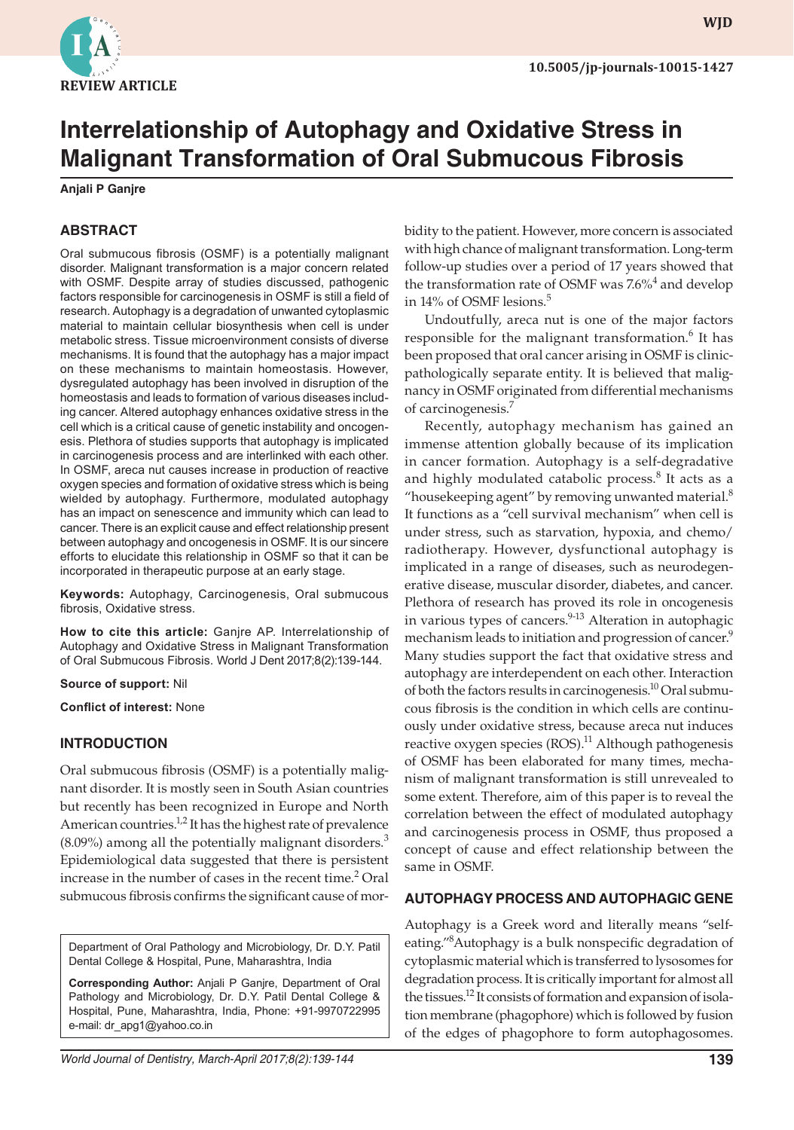

# **Interrelationship of Autophagy and Oxidative Stress in Malignant Transformation of Oral Submucous Fibrosis**

**Anjali P Ganjre**

## **ABSTRACT**

Oral submucous fibrosis (OSMF) is a potentially malignant disorder. Malignant transformation is a major concern related with OSMF. Despite array of studies discussed, pathogenic factors responsible for carcinogenesis in OSMF is still a field of research. Autophagy is a degradation of unwanted cytoplasmic material to maintain cellular biosynthesis when cell is under metabolic stress. Tissue microenvironment consists of diverse mechanisms. It is found that the autophagy has a major impact on these mechanisms to maintain homeostasis. However, dysregulated autophagy has been involved in disruption of the homeostasis and leads to formation of various diseases including cancer. Altered autophagy enhances oxidative stress in the cell which is a critical cause of genetic instability and oncogenesis. Plethora of studies supports that autophagy is implicated in carcinogenesis process and are interlinked with each other. In OSMF, areca nut causes increase in production of reactive oxygen species and formation of oxidative stress which is being wielded by autophagy. Furthermore, modulated autophagy has an impact on senescence and immunity which can lead to cancer. There is an explicit cause and effect relationship present between autophagy and oncogenesis in OSMF. It is our sincere efforts to elucidate this relationship in OSMF so that it can be incorporated in therapeutic purpose at an early stage.

**Keywords:** Autophagy, Carcinogenesis, Oral submucous fibrosis, Oxidative stress.

**How to cite this article:** Ganjre AP. Interrelationship of Autophagy and Oxidative Stress in Malignant Transformation of Oral Submucous Fibrosis. World J Dent 2017;8(2):139-144.

#### **Source of support:** Nil

**Conflict of interest:** None

#### **INTRODUCTION**

Oral submucous fibrosis (OSMF) is a potentially malignant disorder. It is mostly seen in South Asian countries but recently has been recognized in Europe and North American countries.<sup>1,2</sup> It has the highest rate of prevalence  $(8.09\%)$  among all the potentially malignant disorders.<sup>3</sup> Epidemiological data suggested that there is persistent increase in the number of cases in the recent time.<sup>2</sup> Oral submucous fibrosis confirms the significant cause of mor-

Department of Oral Pathology and Microbiology, Dr. D.Y. Patil Dental College & Hospital, Pune, Maharashtra, India

**Corresponding Author:** Anjali P Ganjre, Department of Oral Pathology and Microbiology, Dr. D.Y. Patil Dental College & Hospital, Pune, Maharashtra, India, Phone: +91-9970722995 e-mail: dr\_apg1@yahoo.co.in

bidity to the patient. However, more concern is associated with high chance of malignant transformation. Long-term follow-up studies over a period of 17 years showed that the transformation rate of OSMF was 7.6%<sup>4</sup> and develop in 14% of OSMF lesions.<sup>5</sup>

Undoutfully, areca nut is one of the major factors responsible for the malignant transformation.<sup>6</sup> It has been proposed that oral cancer arising in OSMF is clinicpathologically separate entity. It is believed that malignancy in OSMF originated from differential mechanisms of carcinogenesis.<sup>7</sup>

Recently, autophagy mechanism has gained an immense attention globally because of its implication in cancer formation. Autophagy is a self-degradative and highly modulated catabolic process. $8$  It acts as a "housekeeping agent" by removing unwanted material. $8$ It functions as a "cell survival mechanism" when cell is under stress, such as starvation, hypoxia, and chemo/ radiotherapy. However, dysfunctional autophagy is implicated in a range of diseases, such as neurodegenerative disease, muscular disorder, diabetes, and cancer. Plethora of research has proved its role in oncogenesis in various types of cancers. $9-13$  Alteration in autophagic mechanism leads to initiation and progression of cancer.<sup>9</sup> Many studies support the fact that oxidative stress and autophagy are interdependent on each other. Interaction of both the factors results in carcinogenesis.<sup>10</sup> Oral submucous fibrosis is the condition in which cells are continuously under oxidative stress, because areca nut induces reactive oxygen species  $(ROS)$ .<sup>11</sup> Although pathogenesis of OSMF has been elaborated for many times, mechanism of malignant transformation is still unrevealed to some extent. Therefore, aim of this paper is to reveal the correlation between the effect of modulated autophagy and carcinogenesis process in OSMF, thus proposed a concept of cause and effect relationship between the same in OSMF.

#### **AUTOPHAGY PROCESS AND AUTOPHAGIC GENE**

Autophagy is a Greek word and literally means "selfeating."<sup>8</sup>Autophagy is a bulk nonspecific degradation of cytoplasmic material which is transferred to lysosomes for degradation process. It is critically important for almost all the tissues.<sup>12</sup> It consists of formation and expansion of isolation membrane (phagophore) which is followed by fusion of the edges of phagophore to form autophagosomes.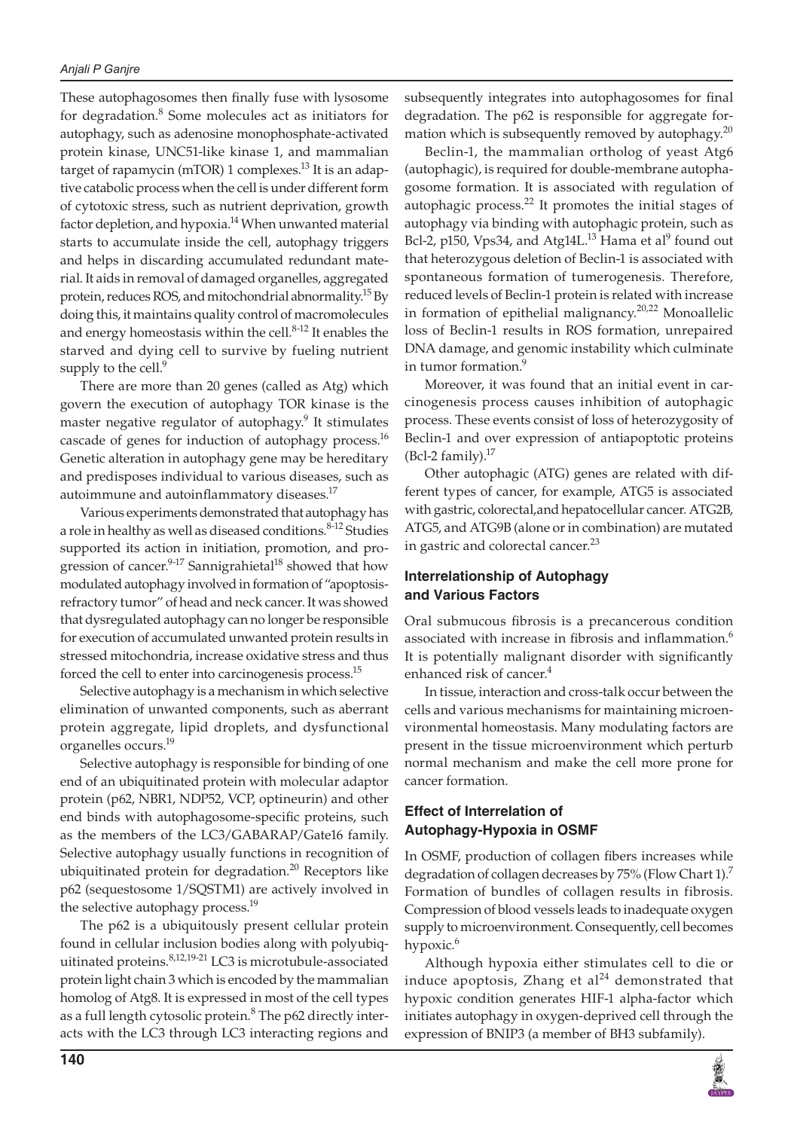These autophagosomes then finally fuse with lysosome for degradation.<sup>8</sup> Some molecules act as initiators for autophagy, such as adenosine monophosphate-activated protein kinase, UNC51-like kinase 1, and mammalian target of rapamycin (mTOR) 1 complexes.<sup>13</sup> It is an adaptive catabolic process when the cell is under different form of cytotoxic stress, such as nutrient deprivation, growth factor depletion, and hypoxia.<sup>14</sup> When unwanted material starts to accumulate inside the cell, autophagy triggers and helps in discarding accumulated redundant material. It aids in removal of damaged organelles, aggregated protein, reduces ROS, and mitochondrial abnormality.<sup>15</sup> By doing this, it maintains quality control of macromolecules and energy homeostasis within the cell. $8-12$  It enables the starved and dying cell to survive by fueling nutrient supply to the cell.<sup>9</sup>

There are more than 20 genes (called as Atg) which govern the execution of autophagy TOR kinase is the master negative regulator of autophagy.<sup>9</sup> It stimulates cascade of genes for induction of autophagy process.<sup>16</sup> Genetic alteration in autophagy gene may be hereditary and predisposes individual to various diseases, such as autoimmune and autoinflammatory diseases.<sup>17</sup>

Various experiments demonstrated that autophagy has a role in healthy as well as diseased conditions.<sup>8-12</sup> Studies supported its action in initiation, promotion, and progression of cancer.<sup>9-17</sup> Sannigrahietal<sup>18</sup> showed that how modulated autophagy involved in formation of "apoptosisrefractory tumor" of head and neck cancer. It was showed that dysregulated autophagy can no longer be responsible for execution of accumulated unwanted protein results in stressed mitochondria, increase oxidative stress and thus forced the cell to enter into carcinogenesis process.<sup>15</sup>

Selective autophagy is a mechanism in which selective elimination of unwanted components, such as aberrant protein aggregate, lipid droplets, and dysfunctional organelles occurs.19

Selective autophagy is responsible for binding of one end of an ubiquitinated protein with molecular adaptor protein (p62, NBR1, NDP52, VCP, optineurin) and other end binds with autophagosome-specific proteins, such as the members of the LC3/GABARAP/Gate16 family. Selective autophagy usually functions in recognition of ubiquitinated protein for degradation. $^{20}$  Receptors like p62 (sequestosome 1/SQSTM1) are actively involved in the selective autophagy process.<sup>19</sup>

The p62 is a ubiquitously present cellular protein found in cellular inclusion bodies along with polyubiquitinated proteins.<sup>8,12,19-21</sup> LC3 is microtubule-associated protein light chain 3 which is encoded by the mammalian homolog of Atg8. It is expressed in most of the cell types as a full length cytosolic protein.<sup>8</sup> The p62 directly interacts with the LC3 through LC3 interacting regions and

subsequently integrates into autophagosomes for final degradation. The p62 is responsible for aggregate formation which is subsequently removed by autophagy. $^{20}$ 

Beclin-1, the mammalian ortholog of yeast Atg6 (autophagic), is required for double-membrane autophagosome formation. It is associated with regulation of autophagic process. $^{22}$  It promotes the initial stages of autophagy via binding with autophagic protein, such as Bcl-2, p150, Vps34, and Atg14L. $^{13}$  Hama et al $^{9}$  found out that heterozygous deletion of Beclin-1 is associated with spontaneous formation of tumerogenesis. Therefore, reduced levels of Beclin-1 protein is related with increase in formation of epithelial malignancy.<sup>20,22</sup> Monoallelic loss of Beclin-1 results in ROS formation, unrepaired DNA damage, and genomic instability which culminate in tumor formation.<sup>9</sup>

Moreover, it was found that an initial event in carcinogenesis process causes inhibition of autophagic process. These events consist of loss of heterozygosity of Beclin-1 and over expression of antiapoptotic proteins (Bcl-2 family). $^{17}$ 

Other autophagic (ATG) genes are related with different types of cancer, for example, ATG5 is associated with gastric, colorectal,and hepatocellular cancer. ATG2B, ATG5, and ATG9B (alone or in combination) are mutated in gastric and colorectal cancer.<sup>23</sup>

## **Interrelationship of Autophagy and Various Factors**

Oral submucous fibrosis is a precancerous condition associated with increase in fibrosis and inflammation.<sup>6</sup> It is potentially malignant disorder with significantly enhanced risk of cancer.<sup>4</sup>

In tissue, interaction and cross-talk occur between the cells and various mechanisms for maintaining microenvironmental homeostasis. Many modulating factors are present in the tissue microenvironment which perturb normal mechanism and make the cell more prone for cancer formation.

## **Effect of Interrelation of Autophagy-Hypoxia in OSMF**

In OSMF, production of collagen fibers increases while degradation of collagen decreases by 75% (Flow Chart 1).<sup>7</sup> Formation of bundles of collagen results in fibrosis. Compression of blood vessels leads to inadequate oxygen supply to microenvironment. Consequently, cell becomes hypoxic.<sup>6</sup>

Although hypoxia either stimulates cell to die or induce apoptosis, Zhang et  $al<sup>24</sup>$  demonstrated that hypoxic condition generates HIF-1 alpha-factor which initiates autophagy in oxygen-deprived cell through the expression of BNIP3 (a member of BH3 subfamily).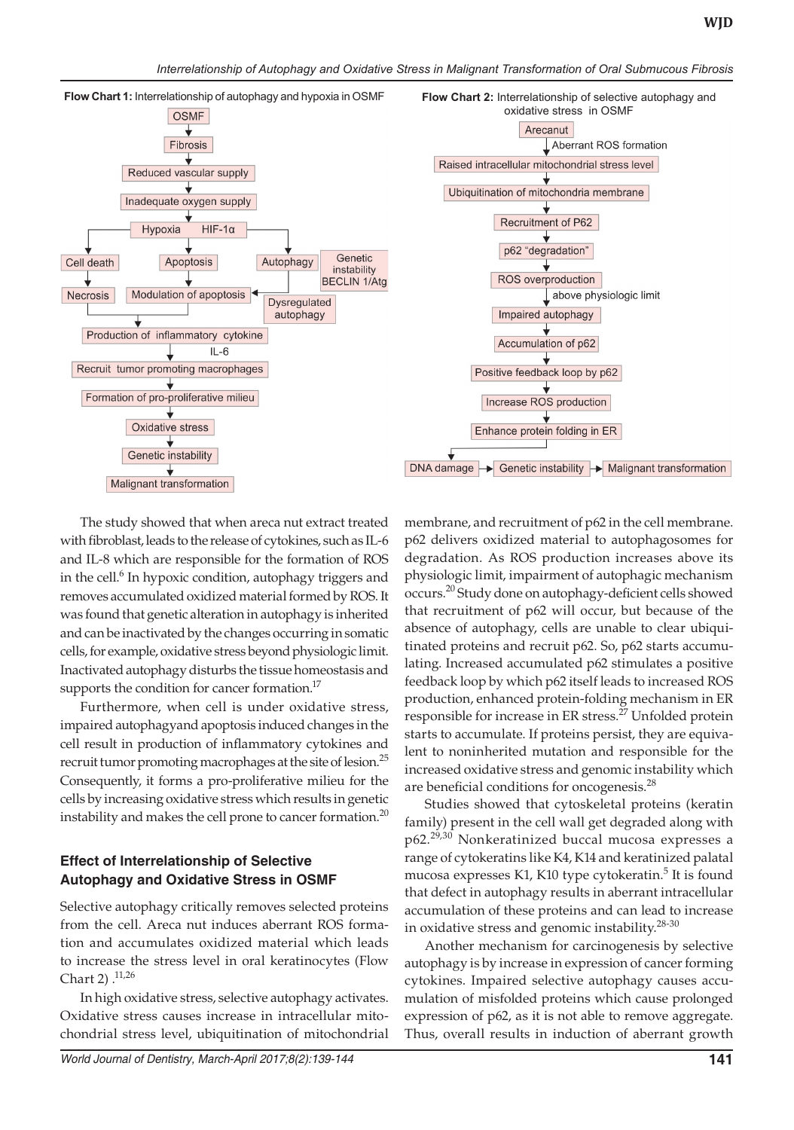

The study showed that when areca nut extract treated with fibroblast, leads to the release of cytokines, such as IL-6 and IL-8 which are responsible for the formation of ROS in the cell.<sup>6</sup> In hypoxic condition, autophagy triggers and removes accumulated oxidized material formed by ROS. It was found that genetic alteration in autophagy is inherited and can be inactivated by the changes occurring in somatic cells, for example, oxidative stress beyond physiologic limit. Inactivated autophagy disturbs the tissue homeostasis and supports the condition for cancer formation.<sup>17</sup>

Furthermore, when cell is under oxidative stress, impaired autophagyand apoptosis induced changes in the cell result in production of inflammatory cytokines and recruit tumor promoting macrophages at the site of lesion.<sup>25</sup> Consequently, it forms a pro-proliferative milieu for the cells by increasing oxidative stress which results in genetic instability and makes the cell prone to cancer formation.<sup>20</sup>

## **Effect of Interrelationship of Selective Autophagy and Oxidative Stress in OSMF**

Selective autophagy critically removes selected proteins from the cell. Areca nut induces aberrant ROS formation and accumulates oxidized material which leads to increase the stress level in oral keratinocytes (Flow Chart 2)  $^{11,26}$ 

In high oxidative stress, selective autophagy activates. Oxidative stress causes increase in intracellular mitochondrial stress level, ubiquitination of mitochondrial membrane, and recruitment of p62 in the cell membrane. p62 delivers oxidized material to autophagosomes for degradation. As ROS production increases above its physiologic limit, impairment of autophagic mechanism occurs.20 Study done on autophagy-deficient cells showed that recruitment of p62 will occur, but because of the absence of autophagy, cells are unable to clear ubiquitinated proteins and recruit p62. So, p62 starts accumulating. Increased accumulated p62 stimulates a positive feedback loop by which p62 itself leads to increased ROS production, enhanced protein-folding mechanism in ER responsible for increase in ER stress.<sup>27</sup> Unfolded protein starts to accumulate. If proteins persist, they are equivalent to noninherited mutation and responsible for the increased oxidative stress and genomic instability which are beneficial conditions for oncogenesis.<sup>28</sup>

Studies showed that cytoskeletal proteins (keratin family) present in the cell wall get degraded along with p62.29,30 Nonkeratinized buccal mucosa expresses a range of cytokeratins like K4, K14 and keratinized palatal mucosa expresses K1, K10 type cytokeratin.<sup>5</sup> It is found that defect in autophagy results in aberrant intracellular accumulation of these proteins and can lead to increase in oxidative stress and genomic instability.<sup>28-30</sup>

Another mechanism for carcinogenesis by selective autophagy is by increase in expression of cancer forming cytokines. Impaired selective autophagy causes accumulation of misfolded proteins which cause prolonged expression of p62, as it is not able to remove aggregate. Thus, overall results in induction of aberrant growth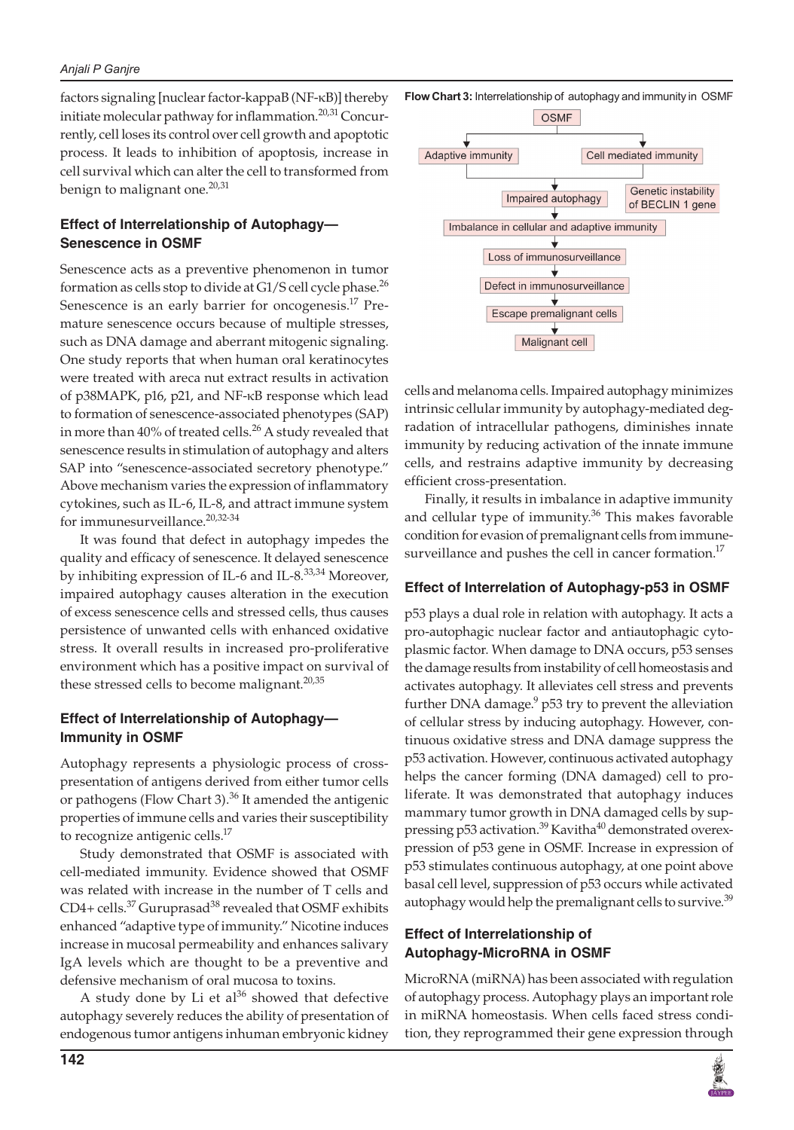### *Anjali P Ganjre*

factors signaling [nuclear factor-kappaB (NF-κB)] thereby initiate molecular pathway for inflammation.<sup>20,31</sup> Concurrently, cell loses its control over cell growth and apoptotic process. It leads to inhibition of apoptosis, increase in cell survival which can alter the cell to transformed from benign to malignant one.<sup>20,31</sup>

## **Effect of Interrelationship of Autophagy— Senescence in OSMF**

Senescence acts as a preventive phenomenon in tumor formation as cells stop to divide at G1/S cell cycle phase. $^{26}$ Senescence is an early barrier for oncogenesis.<sup>17</sup> Premature senescence occurs because of multiple stresses, such as DNA damage and aberrant mitogenic signaling. One study reports that when human oral keratinocytes were treated with areca nut extract results in activation of p38MAPK, p16, p21, and NF-κB response which lead to formation of senescence-associated phenotypes (SAP) in more than  $40\%$  of treated cells.<sup>26</sup> A study revealed that senescence results in stimulation of autophagy and alters SAP into "senescence-associated secretory phenotype." Above mechanism varies the expression of inflammatory cytokines, such as IL-6, IL-8, and attract immune system for immunesurveillance.<sup>20,32-34</sup>

It was found that defect in autophagy impedes the quality and efficacy of senescence. It delayed senescence by inhibiting expression of IL-6 and IL-8.<sup>33,34</sup> Moreover, impaired autophagy causes alteration in the execution of excess senescence cells and stressed cells, thus causes persistence of unwanted cells with enhanced oxidative stress. It overall results in increased pro-proliferative environment which has a positive impact on survival of these stressed cells to become malignant. $^{20,35}$ 

## **Effect of Interrelationship of Autophagy— Immunity in OSMF**

Autophagy represents a physiologic process of crosspresentation of antigens derived from either tumor cells or pathogens (Flow Chart 3).<sup>36</sup> It amended the antigenic properties of immune cells and varies their susceptibility to recognize antigenic cells.<sup>17</sup>

Study demonstrated that OSMF is associated with cell-mediated immunity. Evidence showed that OSMF was related with increase in the number of T cells and  $CD4+$  cells.<sup>37</sup> Guruprasad<sup>38</sup> revealed that OSMF exhibits enhanced "adaptive type of immunity." Nicotine induces increase in mucosal permeability and enhances salivary IgA levels which are thought to be a preventive and defensive mechanism of oral mucosa to toxins.

A study done by Li et  $al^{36}$  showed that defective autophagy severely reduces the ability of presentation of endogenous tumor antigens inhuman embryonic kidney **Flow Chart 3:** Interrelationship of autophagy and immunity in OSMF



cells and melanoma cells. Impaired autophagy minimizes intrinsic cellular immunity by autophagy-mediated degradation of intracellular pathogens, diminishes innate immunity by reducing activation of the innate immune cells, and restrains adaptive immunity by decreasing efficient cross-presentation.

Finally, it results in imbalance in adaptive immunity and cellular type of immunity. $36$  This makes favorable condition for evasion of premalignant cells from immunesurveillance and pushes the cell in cancer formation. $17$ 

## **Effect of Interrelation of Autophagy-p53 in OSMF**

p53 plays a dual role in relation with autophagy. It acts a pro-autophagic nuclear factor and antiautophagic cytoplasmic factor. When damage to DNA occurs, p53 senses the damage results from instability of cell homeostasis and activates autophagy. It alleviates cell stress and prevents further DNA damage.<sup>9</sup> p53 try to prevent the alleviation of cellular stress by inducing autophagy. However, continuous oxidative stress and DNA damage suppress the p53 activation. However, continuous activated autophagy helps the cancer forming (DNA damaged) cell to proliferate. It was demonstrated that autophagy induces mammary tumor growth in DNA damaged cells by suppressing p53 activation.<sup>39</sup> Kavitha<sup>40</sup> demonstrated overexpression of p53 gene in OSMF. Increase in expression of p53 stimulates continuous autophagy, at one point above basal cell level, suppression of p53 occurs while activated autophagy would help the premalignant cells to survive.<sup>39</sup>

## **Effect of Interrelationship of Autophagy-MicroRNA in OSMF**

MicroRNA (miRNA) has been associated with regulation of autophagy process. Autophagy plays an important role in miRNA homeostasis. When cells faced stress condition, they reprogrammed their gene expression through

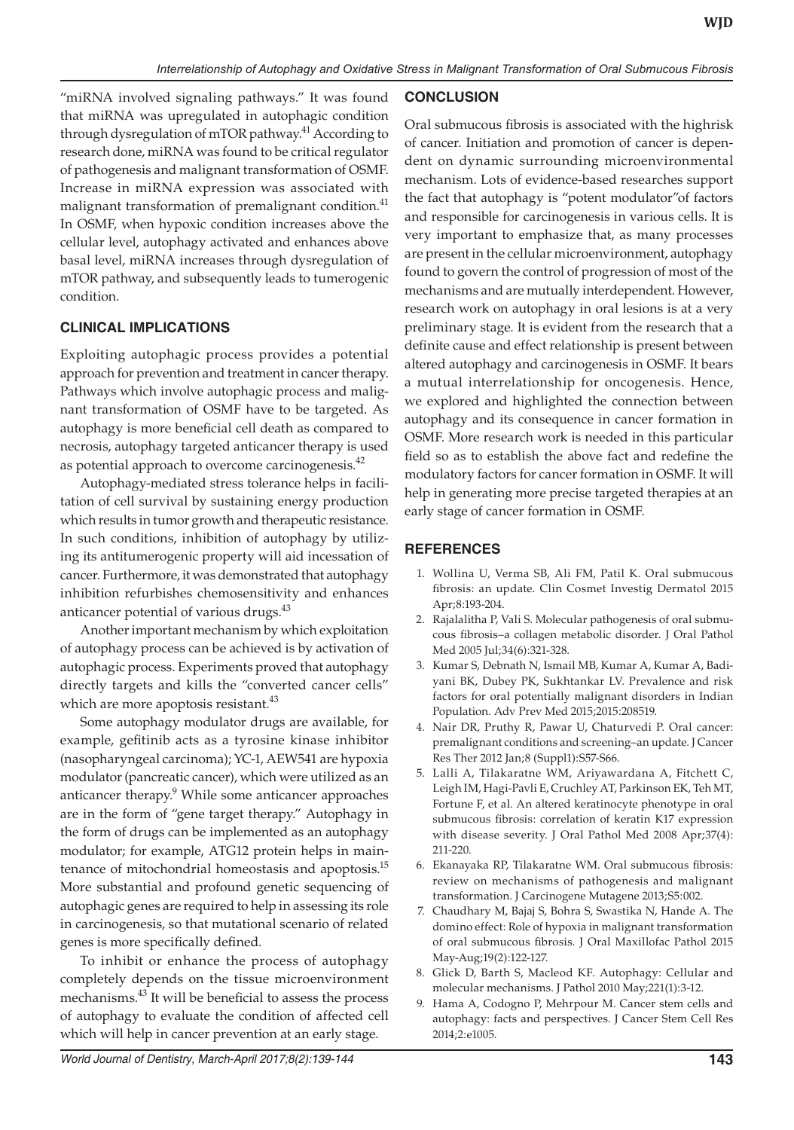"miRNA involved signaling pathways." It was found that miRNA was upregulated in autophagic condition through dysregulation of mTOR pathway.<sup>41</sup> According to research done, miRNA was found to be critical regulator of pathogenesis and malignant transformation of OSMF. Increase in miRNA expression was associated with malignant transformation of premalignant condition.<sup>41</sup> In OSMF, when hypoxic condition increases above the cellular level, autophagy activated and enhances above basal level, miRNA increases through dysregulation of mTOR pathway, and subsequently leads to tumerogenic condition.

## **CLINICAL IMPLICATIONS**

Exploiting autophagic process provides a potential approach for prevention and treatment in cancer therapy. Pathways which involve autophagic process and malignant transformation of OSMF have to be targeted. As autophagy is more beneficial cell death as compared to necrosis, autophagy targeted anticancer therapy is used as potential approach to overcome carcinogenesis.<sup>42</sup>

Autophagy-mediated stress tolerance helps in facilitation of cell survival by sustaining energy production which results in tumor growth and therapeutic resistance. In such conditions, inhibition of autophagy by utilizing its antitumerogenic property will aid incessation of cancer. Furthermore, it was demonstrated that autophagy inhibition refurbishes chemosensitivity and enhances anticancer potential of various drugs.<sup>43</sup>

Another important mechanism by which exploitation of autophagy process can be achieved is by activation of autophagic process. Experiments proved that autophagy directly targets and kills the "converted cancer cells" which are more apoptosis resistant.<sup>43</sup>

Some autophagy modulator drugs are available, for example, gefitinib acts as a tyrosine kinase inhibitor (nasopharyngeal carcinoma); YC-1, AEW541 are hypoxia modulator (pancreatic cancer), which were utilized as an anticancer therapy.<sup>9</sup> While some anticancer approaches are in the form of "gene target therapy." Autophagy in the form of drugs can be implemented as an autophagy modulator; for example, ATG12 protein helps in maintenance of mitochondrial homeostasis and apoptosis.<sup>15</sup> More substantial and profound genetic sequencing of autophagic genes are required to help in assessing its role in carcinogenesis, so that mutational scenario of related genes is more specifically defined.

To inhibit or enhance the process of autophagy completely depends on the tissue microenvironment mechanisms.43 It will be beneficial to assess the process of autophagy to evaluate the condition of affected cell which will help in cancer prevention at an early stage.

### **CONCLUSION**

Oral submucous fibrosis is associated with the highrisk of cancer. Initiation and promotion of cancer is dependent on dynamic surrounding microenvironmental mechanism. Lots of evidence-based researches support the fact that autophagy is "potent modulator"of factors and responsible for carcinogenesis in various cells. It is very important to emphasize that, as many processes are present in the cellular microenvironment, autophagy found to govern the control of progression of most of the mechanisms and are mutually interdependent. However, research work on autophagy in oral lesions is at a very preliminary stage. It is evident from the research that a definite cause and effect relationship is present between altered autophagy and carcinogenesis in OSMF. It bears a mutual interrelationship for oncogenesis. Hence, we explored and highlighted the connection between autophagy and its consequence in cancer formation in OSMF. More research work is needed in this particular field so as to establish the above fact and redefine the modulatory factors for cancer formation in OSMF. It will help in generating more precise targeted therapies at an early stage of cancer formation in OSMF.

## **REFERENCES**

- 1. Wollina U, Verma SB, Ali FM, Patil K. Oral submucous fibrosis: an update. Clin Cosmet Investig Dermatol 2015 Apr;8:193-204.
- 2. Rajalalitha P, Vali S. Molecular pathogenesis of oral submucous fibrosis–a collagen metabolic disorder. J Oral Pathol Med 2005 Jul;34(6):321-328.
- 3. Kumar S, Debnath N, Ismail MB, Kumar A, Kumar A, Badiyani BK, Dubey PK, Sukhtankar LV. Prevalence and risk factors for oral potentially malignant disorders in Indian Population. Adv Prev Med 2015;2015:208519.
- 4. Nair DR, Pruthy R, Pawar U, Chaturvedi P. Oral cancer: premalignant conditions and screening–an update. J Cancer Res Ther 2012 Jan;8 (Suppl1):S57-S66.
- 5. Lalli A, Tilakaratne WM, Ariyawardana A, Fitchett C, Leigh IM, Hagi-Pavli E, Cruchley AT, Parkinson EK, Teh MT, Fortune F, et al. An altered keratinocyte phenotype in oral submucous fibrosis: correlation of keratin K17 expression with disease severity. J Oral Pathol Med 2008 Apr;37(4): 211-220.
- 6. Ekanayaka RP, Tilakaratne WM. Oral submucous fibrosis: review on mechanisms of pathogenesis and malignant transformation. J Carcinogene Mutagene 2013;S5:002.
- 7. Chaudhary M, Bajaj S, Bohra S, Swastika N, Hande A. The domino effect: Role of hypoxia in malignant transformation of oral submucous fibrosis. J Oral Maxillofac Pathol 2015 May-Aug;19(2):122-127.
- 8. Glick D, Barth S, Macleod KF. Autophagy: Cellular and molecular mechanisms. J Pathol 2010 May;221(1):3-12.
- 9. Hama A, Codogno P, Mehrpour M. Cancer stem cells and autophagy: facts and perspectives. J Cancer Stem Cell Res 2014;2:e1005.